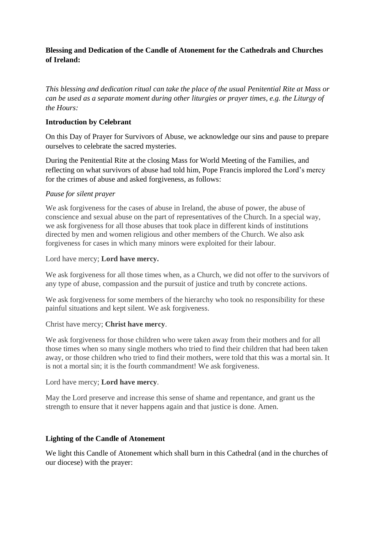## **Blessing and Dedication of the Candle of Atonement for the Cathedrals and Churches of Ireland:**

*This blessing and dedication ritual can take the place of the usual Penitential Rite at Mass or can be used as a separate moment during other liturgies or prayer times, e.g. the Liturgy of the Hours:*

### **Introduction by Celebrant**

On this Day of Prayer for Survivors of Abuse, we acknowledge our sins and pause to prepare ourselves to celebrate the sacred mysteries.

During the Penitential Rite at the closing Mass for World Meeting of the Families, and reflecting on what survivors of abuse had told him, Pope Francis implored the Lord's mercy for the crimes of abuse and asked forgiveness, as follows:

### *Pause for silent prayer*

We ask forgiveness for the cases of abuse in Ireland, the abuse of power, the abuse of conscience and sexual abuse on the part of representatives of the Church. In a special way, we ask forgiveness for all those abuses that took place in different kinds of institutions directed by men and women religious and other members of the Church. We also ask forgiveness for cases in which many minors were exploited for their labour.

#### Lord have mercy; **Lord have mercy.**

We ask forgiveness for all those times when, as a Church, we did not offer to the survivors of any type of abuse, compassion and the pursuit of justice and truth by concrete actions.

We ask forgiveness for some members of the hierarchy who took no responsibility for these painful situations and kept silent. We ask forgiveness.

#### Christ have mercy; **Christ have mercy**.

We ask forgiveness for those children who were taken away from their mothers and for all those times when so many single mothers who tried to find their children that had been taken away, or those children who tried to find their mothers, were told that this was a mortal sin. It is not a mortal sin; it is the fourth commandment! We ask forgiveness.

#### Lord have mercy; **Lord have mercy**.

May the Lord preserve and increase this sense of shame and repentance, and grant us the strength to ensure that it never happens again and that justice is done. Amen.

## **Lighting of the Candle of Atonement**

We light this Candle of Atonement which shall burn in this Cathedral (and in the churches of our diocese) with the prayer: